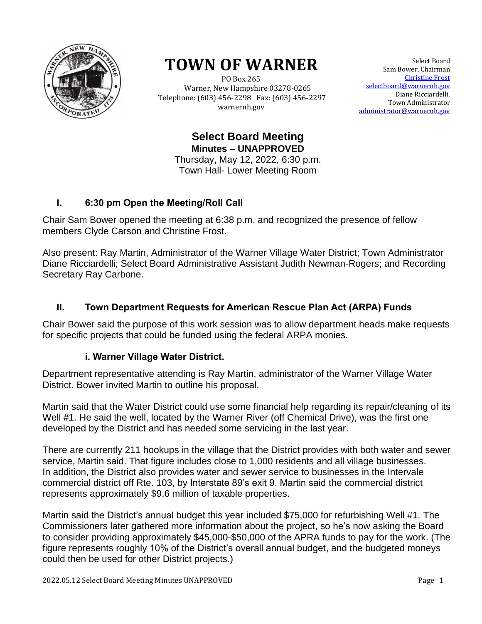

# **TOWN OF WARNER**

 PO Box 265 Warner, New Hampshire 03278-0265 Telephone: (603) 456-2298 Fax: (603) 456-2297 warnernh.gov

Select Board Sam Bower, Chairman Christine Frost selectboard@warnernh.gov Diane Ricciardelli, Town Administrator [administrator@warnernh.g](mailto:administrator@warnernh.)ov

**Select Board Meeting Minutes – UNAPPROVED** Thursday, May 12, 2022, 6:30 p.m. Town Hall- Lower Meeting Room

## **I. 6:30 pm Open the Meeting/Roll Call**

Chair Sam Bower opened the meeting at 6:38 p.m. and recognized the presence of fellow members Clyde Carson and Christine Frost.

Also present: Ray Martin, Administrator of the Warner Village Water District; Town Administrator Diane Ricciardelli; Select Board Administrative Assistant Judith Newman-Rogers; and Recording Secretary Ray Carbone.

### **II. Town Department Requests for American Rescue Plan Act (ARPA) Funds**

Chair Bower said the purpose of this work session was to allow department heads make requests for specific projects that could be funded using the federal ARPA monies.

#### **i. Warner Village Water District.**

Department representative attending is Ray Martin, administrator of the Warner Village Water District. Bower invited Martin to outline his proposal.

Martin said that the Water District could use some financial help regarding its repair/cleaning of its Well #1. He said the well, located by the Warner River (off Chemical Drive), was the first one developed by the District and has needed some servicing in the last year.

There are currently 211 hookups in the village that the District provides with both water and sewer service, Martin said. That figure includes close to 1,000 residents and all village businesses. In addition, the District also provides water and sewer service to businesses in the Intervale commercial district off Rte. 103, by Interstate 89's exit 9. Martin said the commercial district represents approximately \$9.6 million of taxable properties.

Martin said the District's annual budget this year included \$75,000 for refurbishing Well #1. The Commissioners later gathered more information about the project, so he's now asking the Board to consider providing approximately \$45,000-\$50,000 of the APRA funds to pay for the work. (The figure represents roughly 10% of the District's overall annual budget, and the budgeted moneys could then be used for other District projects.)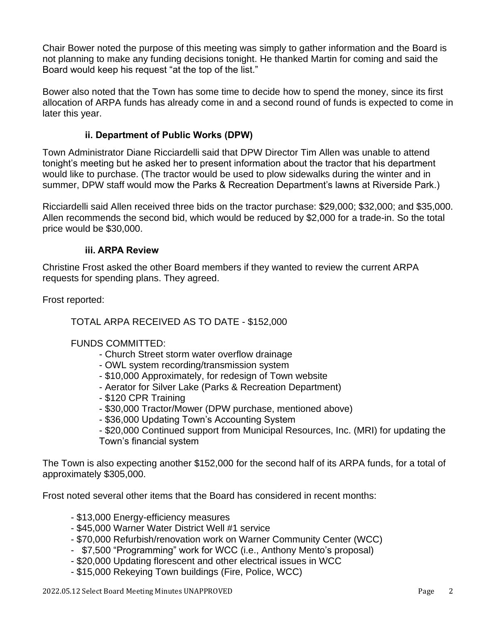Chair Bower noted the purpose of this meeting was simply to gather information and the Board is not planning to make any funding decisions tonight. He thanked Martin for coming and said the Board would keep his request "at the top of the list."

Bower also noted that the Town has some time to decide how to spend the money, since its first allocation of ARPA funds has already come in and a second round of funds is expected to come in later this year.

#### **ii. Department of Public Works (DPW)**

Town Administrator Diane Ricciardelli said that DPW Director Tim Allen was unable to attend tonight's meeting but he asked her to present information about the tractor that his department would like to purchase. (The tractor would be used to plow sidewalks during the winter and in summer, DPW staff would mow the Parks & Recreation Department's lawns at Riverside Park.)

Ricciardelli said Allen received three bids on the tractor purchase: \$29,000; \$32,000; and \$35,000. Allen recommends the second bid, which would be reduced by \$2,000 for a trade-in. So the total price would be \$30,000.

#### **iii. ARPA Review**

Christine Frost asked the other Board members if they wanted to review the current ARPA requests for spending plans. They agreed.

Frost reported:

TOTAL ARPA RECEIVED AS TO DATE - \$152,000

#### FUNDS COMMITTED:

- Church Street storm water overflow drainage
- OWL system recording/transmission system
- \$10,000 Approximately, for redesign of Town website
- Aerator for Silver Lake (Parks & Recreation Department)
- \$120 CPR Training
- \$30,000 Tractor/Mower (DPW purchase, mentioned above)
- \$36,000 Updating Town's Accounting System

- \$20,000 Continued support from Municipal Resources, Inc. (MRI) for updating the Town's financial system

The Town is also expecting another \$152,000 for the second half of its ARPA funds, for a total of approximately \$305,000.

Frost noted several other items that the Board has considered in recent months:

- \$13,000 Energy-efficiency measures
- \$45,000 Warner Water District Well #1 service
- \$70,000 Refurbish/renovation work on Warner Community Center (WCC)
- \$7,500 "Programming" work for WCC (i.e., Anthony Mento's proposal)
- \$20,000 Updating florescent and other electrical issues in WCC
- \$15,000 Rekeying Town buildings (Fire, Police, WCC)